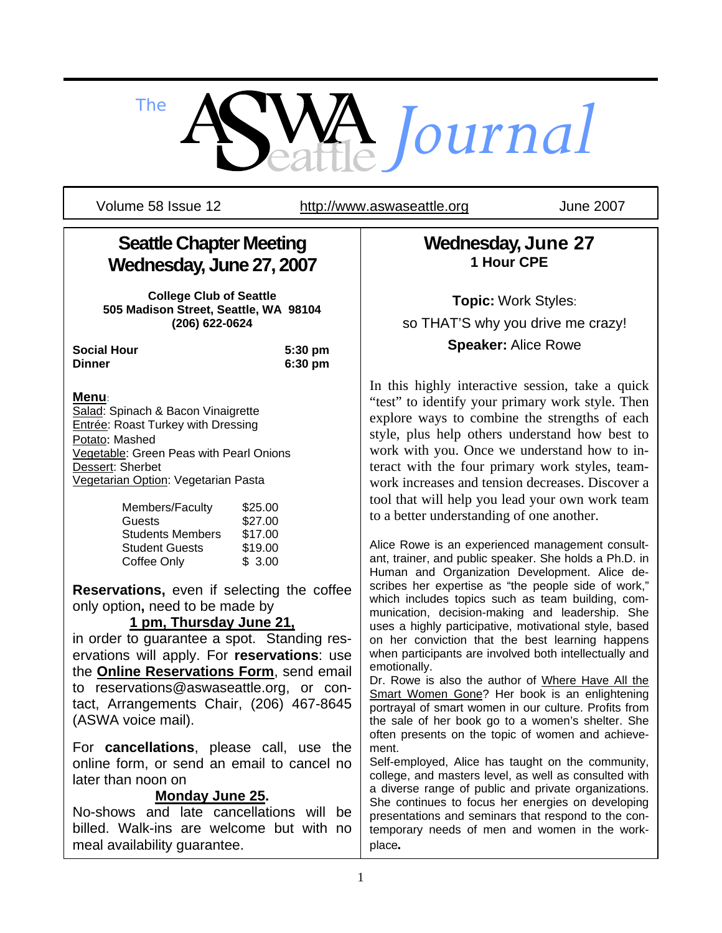

Volume 58 Issue 12 http://www.aswaseattle.org June 2007

## **Seattle Chapter Meeting Wednesday, June 27, 2007**

**College Club of Seattle 505 Madison Street, Seattle, WA 98104 (206) 622-0624** 

**Social Hour 5:30 pm Dinner 6:30 pm**

#### **Menu**:

Salad: Spinach & Bacon Vinaigrette Entrée: Roast Turkey with Dressing Potato: Mashed Vegetable: Green Peas with Pearl Onions Dessert: Sherbet Vegetarian Option: Vegetarian Pasta

| Members/Faculty         | \$25.00 |
|-------------------------|---------|
| Guests                  | \$27.00 |
| <b>Students Members</b> | \$17.00 |
| <b>Student Guests</b>   | \$19.00 |
| Coffee Only             | \$3.00  |

**Reservations,** even if selecting the coffee only option**,** need to be made by

### **1 pm, Thursday June 21,**

in order to guarantee a spot. Standing reservations will apply. For **reservations**: use the **Online Reservations Form**, send email to reservations@aswaseattle.org, or contact, Arrangements Chair, (206) 467-8645 (ASWA voice mail).

For **cancellations**, please call, use the online form, or send an email to cancel no later than noon on

#### **Monday June 25.**

No-shows and late cancellations will be billed. Walk-ins are welcome but with no meal availability guarantee.

**Wednesday, June 27 1 Hour CPE** 

**Topic:** Work Styles: so THAT'S why you drive me crazy! **Speaker:** Alice Rowe

In this highly interactive session, take a quick "test" to identify your primary work style. Then explore ways to combine the strengths of each style, plus help others understand how best to work with you. Once we understand how to interact with the four primary work styles, teamwork increases and tension decreases. Discover a tool that will help you lead your own work team to a better understanding of one another.

Alice Rowe is an experienced management consultant, trainer, and public speaker. She holds a Ph.D. in Human and Organization Development. Alice describes her expertise as "the people side of work," which includes topics such as team building, communication, decision-making and leadership. She uses a highly participative, motivational style, based on her conviction that the best learning happens when participants are involved both intellectually and emotionally.

Dr. Rowe is also the author of Where Have All the Smart Women Gone? Her book is an enlightening portrayal of smart women in our culture. Profits from the sale of her book go to a women's shelter. She often presents on the topic of women and achievement.

Self-employed, Alice has taught on the community, college, and masters level, as well as consulted with a diverse range of public and private organizations. She continues to focus her energies on developing presentations and seminars that respond to the contemporary needs of men and women in the workplace*.*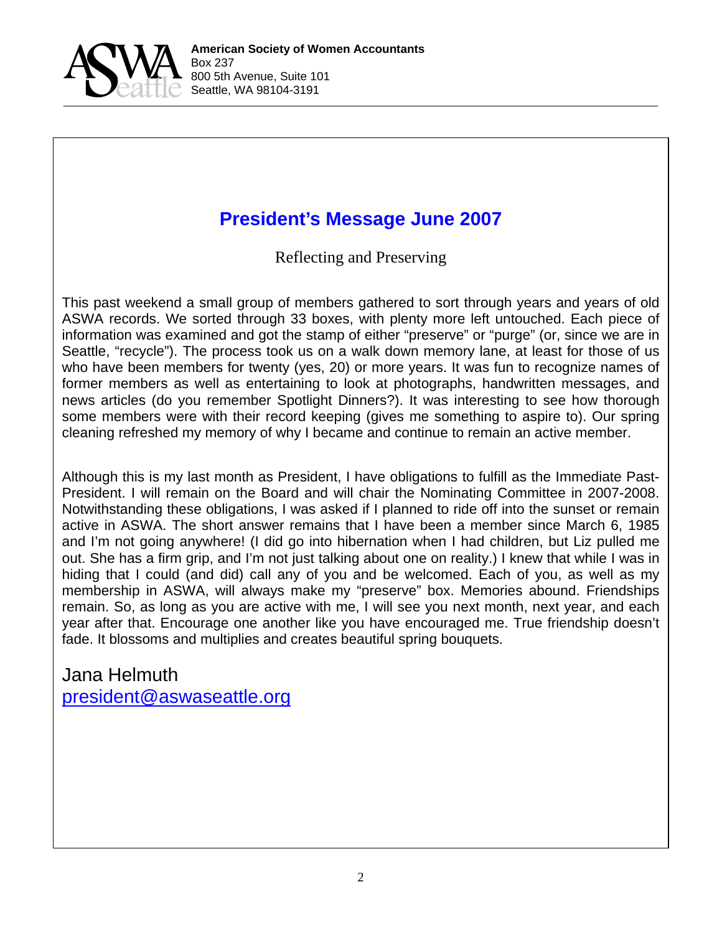

# **President's Message June 2007**

Reflecting and Preserving

This past weekend a small group of members gathered to sort through years and years of old ASWA records. We sorted through 33 boxes, with plenty more left untouched. Each piece of information was examined and got the stamp of either "preserve" or "purge" (or, since we are in Seattle, "recycle"). The process took us on a walk down memory lane, at least for those of us who have been members for twenty (yes, 20) or more years. It was fun to recognize names of former members as well as entertaining to look at photographs, handwritten messages, and news articles (do you remember Spotlight Dinners?). It was interesting to see how thorough some members were with their record keeping (gives me something to aspire to). Our spring cleaning refreshed my memory of why I became and continue to remain an active member.

Although this is my last month as President, I have obligations to fulfill as the Immediate Past-President. I will remain on the Board and will chair the Nominating Committee in 2007-2008. Notwithstanding these obligations, I was asked if I planned to ride off into the sunset or remain active in ASWA. The short answer remains that I have been a member since March 6, 1985 and I'm not going anywhere! (I did go into hibernation when I had children, but Liz pulled me out. She has a firm grip, and I'm not just talking about one on reality.) I knew that while I was in hiding that I could (and did) call any of you and be welcomed. Each of you, as well as my membership in ASWA, will always make my "preserve" box. Memories abound. Friendships remain. So, as long as you are active with me, I will see you next month, next year, and each year after that. Encourage one another like you have encouraged me. True friendship doesn't fade. It blossoms and multiplies and creates beautiful spring bouquets.

Jana Helmuth president@aswaseattle.org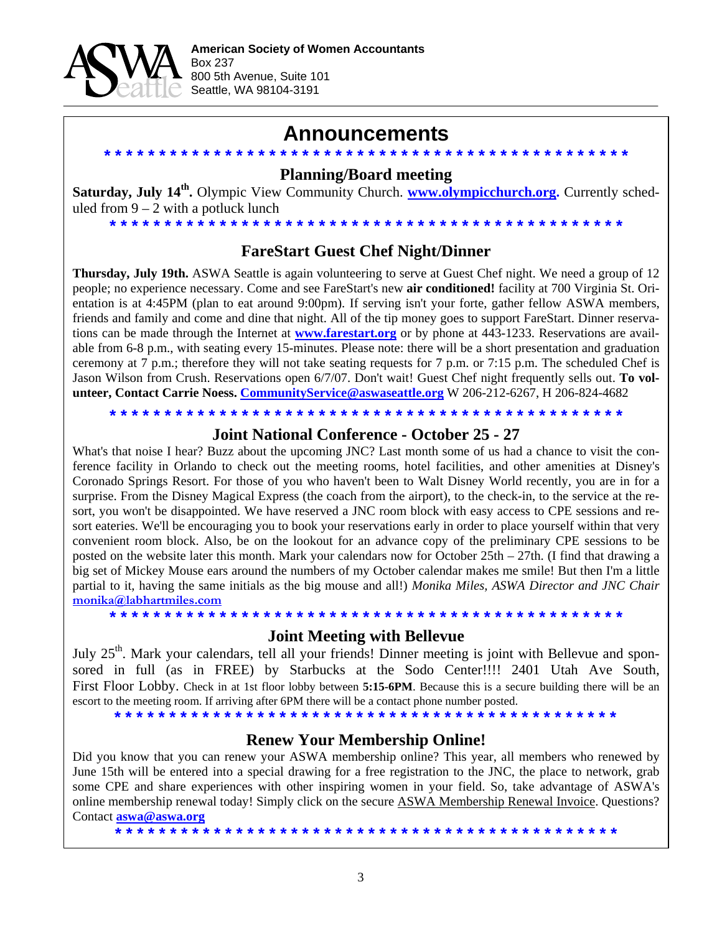

### **Announcements**

#### **\* \* \* \* \* \* \* \* \* \* \* \* \* \* \* \* \* \* \* \* \* \* \* \* \* \* \* \* \* \* \* \* \* \* \* \* \* \* \* \* \* \* \* \* \* \* \* \* Planning/Board meeting**

Saturday, July 14<sup>th</sup>. Olympic View Community Church. **www.olympicchurch.org.** Currently scheduled from  $9 - 2$  with a potluck lunch

#### **FareStart Guest Chef Night/Dinner**

**\* \* \* \* \* \* \* \* \* \* \* \* \* \* \* \* \* \* \* \* \* \* \* \* \* \* \* \* \* \* \* \* \* \* \* \* \* \* \* \* \* \* \* \* \* \* \***

**Thursday, July 19th.** ASWA Seattle is again volunteering to serve at Guest Chef night. We need a group of 12 people; no experience necessary. Come and see FareStart's new **air conditioned!** facility at 700 Virginia St. Orientation is at 4:45PM (plan to eat around 9:00pm). If serving isn't your forte, gather fellow ASWA members, friends and family and come and dine that night. All of the tip money goes to support FareStart. Dinner reservations can be made through the Internet at **www.farestart.org** or by phone at 443-1233. Reservations are available from 6-8 p.m., with seating every 15-minutes. Please note: there will be a short presentation and graduation ceremony at 7 p.m.; therefore they will not take seating requests for 7 p.m. or 7:15 p.m. The scheduled Chef is Jason Wilson from Crush. Reservations open 6/7/07. Don't wait! Guest Chef night frequently sells out. **To volunteer, Contact Carrie Noess. CommunityService@aswaseattle.org** W 206-212-6267, H 206-824-4682

**\* \* \* \* \* \* \* \* \* \* \* \* \* \* \* \* \* \* \* \* \* \* \* \* \* \* \* \* \* \* \* \* \* \* \* \* \* \* \* \* \* \* \* \* \* \* \***

#### **Joint National Conference - October 25 - 27**

What's that noise I hear? Buzz about the upcoming JNC? Last month some of us had a chance to visit the conference facility in Orlando to check out the meeting rooms, hotel facilities, and other amenities at Disney's Coronado Springs Resort. For those of you who haven't been to Walt Disney World recently, you are in for a surprise. From the Disney Magical Express (the coach from the airport), to the check-in, to the service at the resort, you won't be disappointed. We have reserved a JNC room block with easy access to CPE sessions and resort eateries. We'll be encouraging you to book your reservations early in order to place yourself within that very convenient room block. Also, be on the lookout for an advance copy of the preliminary CPE sessions to be posted on the website later this month. Mark your calendars now for October 25th – 27th. (I find that drawing a big set of Mickey Mouse ears around the numbers of my October calendar makes me smile! But then I'm a little partial to it, having the same initials as the big mouse and all!) *Monika Miles, ASWA Director and JNC Chair*  **monika@labhartmiles.com**

**\* \* \* \* \* \* \* \* \* \* \* \* \* \* \* \* \* \* \* \* \* \* \* \* \* \* \* \* \* \* \* \* \* \* \* \* \* \* \* \* \* \* \* \* \* \* \* Joint Meeting with Bellevue** 

July 25<sup>th</sup>. Mark your calendars, tell all your friends! Dinner meeting is joint with Bellevue and sponsored in full (as in FREE) by Starbucks at the Sodo Center!!!! 2401 Utah Ave South, First Floor Lobby. Check in at 1st floor lobby between **5:15-6PM**. Because this is a secure building there will be an escort to the meeting room. If arriving after 6PM there will be a contact phone number posted.

**\* \* \* \* \* \* \* \* \* \* \* \* \* \* \* \* \* \* \* \* \* \* \* \* \* \* \* \* \* \* \* \* \* \* \* \* \* \* \* \* \* \* \* \* \* \*** 

### **Renew Your Membership Online!**

Did you know that you can renew your ASWA membership online? This year, all members who renewed by June 15th will be entered into a special drawing for a free registration to the JNC, the place to network, grab some CPE and share experiences with other inspiring women in your field. So, take advantage of ASWA's online membership renewal today! Simply click on the secure ASWA Membership Renewal Invoice. Questions? Contact **aswa@aswa.org**

3

**\* \* \* \* \* \* \* \* \* \* \* \* \* \* \* \* \* \* \* \* \* \* \* \* \* \* \* \* \* \* \* \* \* \* \* \* \* \* \* \* \* \* \* \* \* \***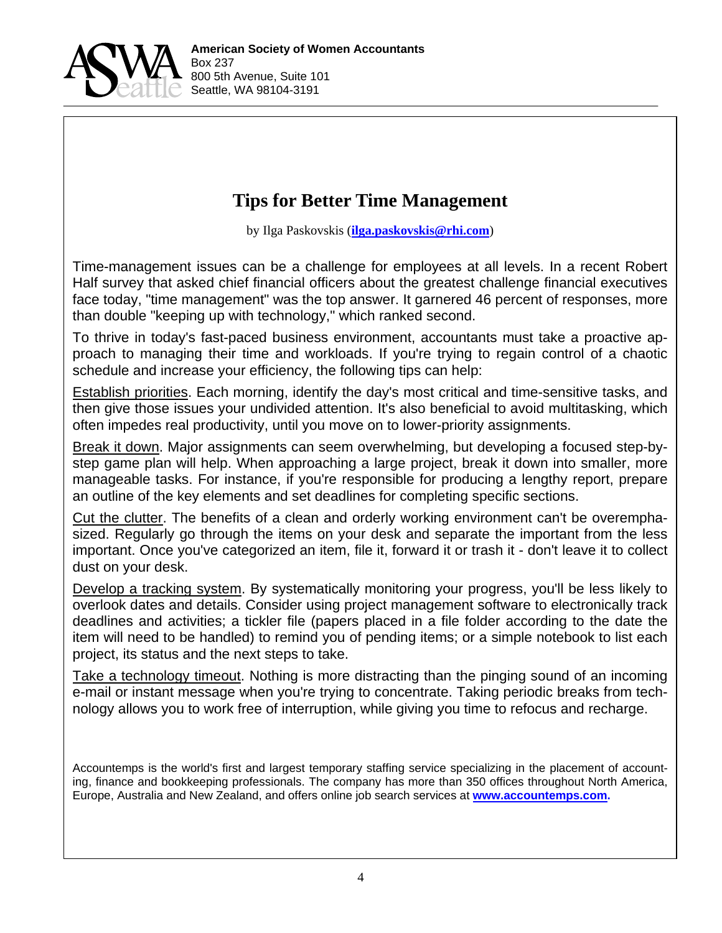

### **Tips for Better Time Management**

by Ilga Paskovskis (**ilga.paskovskis@rhi.com**)

Time-management issues can be a challenge for employees at all levels. In a recent Robert Half survey that asked chief financial officers about the greatest challenge financial executives face today, "time management" was the top answer. It garnered 46 percent of responses, more than double "keeping up with technology," which ranked second.

To thrive in today's fast-paced business environment, accountants must take a proactive approach to managing their time and workloads. If you're trying to regain control of a chaotic schedule and increase your efficiency, the following tips can help:

Establish priorities. Each morning, identify the day's most critical and time-sensitive tasks, and then give those issues your undivided attention. It's also beneficial to avoid multitasking, which often impedes real productivity, until you move on to lower-priority assignments.

Break it down. Major assignments can seem overwhelming, but developing a focused step-bystep game plan will help. When approaching a large project, break it down into smaller, more manageable tasks. For instance, if you're responsible for producing a lengthy report, prepare an outline of the key elements and set deadlines for completing specific sections.

Cut the clutter. The benefits of a clean and orderly working environment can't be overemphasized. Regularly go through the items on your desk and separate the important from the less important. Once you've categorized an item, file it, forward it or trash it - don't leave it to collect dust on your desk.

Develop a tracking system. By systematically monitoring your progress, you'll be less likely to overlook dates and details. Consider using project management software to electronically track deadlines and activities; a tickler file (papers placed in a file folder according to the date the item will need to be handled) to remind you of pending items; or a simple notebook to list each project, its status and the next steps to take.

Take a technology timeout. Nothing is more distracting than the pinging sound of an incoming e-mail or instant message when you're trying to concentrate. Taking periodic breaks from technology allows you to work free of interruption, while giving you time to refocus and recharge.

Accountemps is the world's first and largest temporary staffing service specializing in the placement of accounting, finance and bookkeeping professionals. The company has more than 350 offices throughout North America, Europe, Australia and New Zealand, and offers online job search services at **www.accountemps.com.**